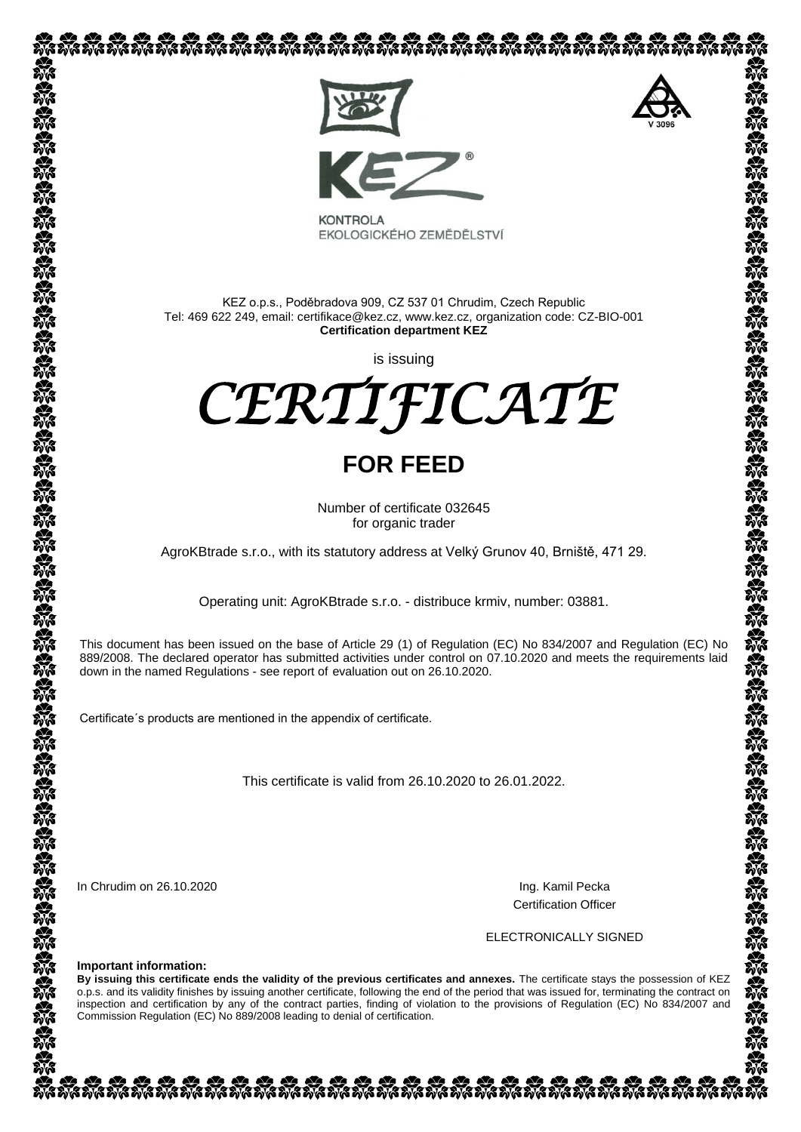

**KONTROLA** EKOLOGICKÉHO ZEMĚDĚLSTVÍ

KEZ o.p.s., Poděbradova 909, CZ 537 01 Chrudim, Czech Republic Tel: 469 622 249, email: certifikace@kez.cz, www.kez.cz, organization code: CZ-BIO-001 **Certification department KEZ**

is issuing

*CERTIFICATE* 

## **FOR FEED**

Number of certificate 032645 for organic trader

AgroKBtrade s.r.o., with its statutory address at Velký Grunov 40, Brniště, 471 29.

Operating unit: AgroKBtrade s.r.o. - distribuce krmiv, number: 03881.

This document has been issued on the base of Article 29 (1) of Regulation (EC) No 834/2007 and Regulation (EC) No 889/2008. The declared operator has submitted activities under control on 07.10.2020 and meets the requirements laid down in the named Regulations - see [report of](http://slovnik.seznam.cz/search.py?lg=en_cz&wd=reports%20of) evaluation out on 26.10.2020.

Certificate´s products are mentioned in the appendix of certificate.

This certificate is valid from 26.10.2020 to 26.01.2022.

In Chrudim on 26.10.2020 **Ing.** Kamil Pecka

Certification Officer

ELECTRONICALLY SIGNED

**Important information:**

**By issuing this certificate ends the validity of the previous certificates and annexes.** The certificate stays the possession of KEZ o.p.s. and its validity finishes by issuing another certificate, following the end of the period that was issued for, terminating the contract on inspection and certification by any of the contract parties, finding of violation to the provisions of Regulation (EC) No 834/2007 and Commission Regulation (EC) No 889/2008 leading to denial of certification.

ત એ કોલ એ કોલ એ કોલ એ છે કે તે તે તે જે તે એ કોલ એ કોલ એ કોલ એ છે કે તે તે તે જે કોલ એ કોલ એ કોલ એ કોલ એ કોલ એ